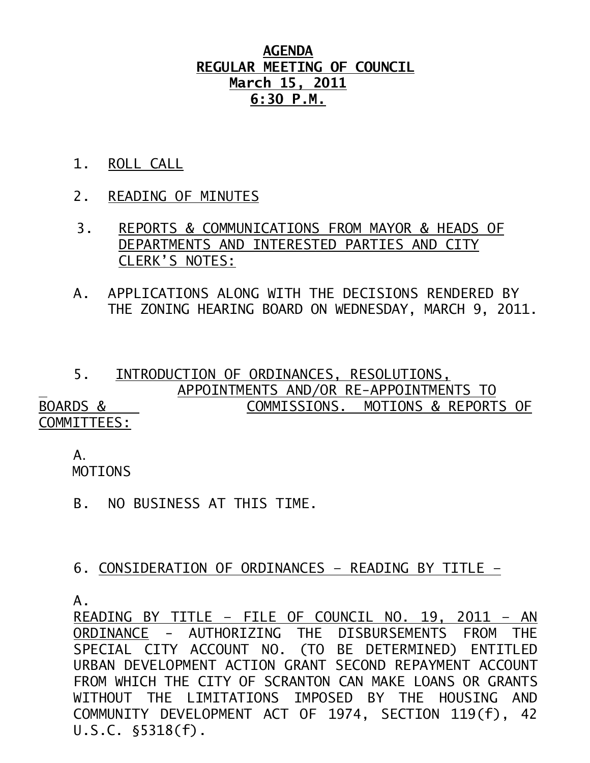## **AGENDA REGULAR MEETING OF COUNCIL March 15, 2011 6:30 P.M.**

- 1. ROLL CALL
- 2. READING OF MINUTES
- 3. REPORTS & COMMUNICATIONS FROM MAYOR & HEADS OF DEPARTMENTS AND INTERESTED PARTIES AND CITY CLERK'S NOTES:
- A. APPLICATIONS ALONG WITH THE DECISIONS RENDERED BY THE ZONING HEARING BOARD ON WEDNESDAY, MARCH 9, 2011.

 5. INTRODUCTION OF ORDINANCES, RESOLUTIONS, APPOINTMENTS AND/OR RE-APPOINTMENTS TO BOARDS & COMMISSIONS. MOTIONS & REPORTS OF COMMITTEES:

 A. MOTIONS

B. NO BUSINESS AT THIS TIME.

## 6. CONSIDERATION OF ORDINANCES – READING BY TITLE –

A.

READING BY TITLE – FILE OF COUNCIL NO. 19, 2011 – AN ORDINANCE - AUTHORIZING THE DISBURSEMENTS FROM THE SPECIAL CITY ACCOUNT NO. (TO BE DETERMINED) ENTITLED URBAN DEVELOPMENT ACTION GRANT SECOND REPAYMENT ACCOUNT FROM WHICH THE CITY OF SCRANTON CAN MAKE LOANS OR GRANTS WITHOUT THE LIMITATIONS IMPOSED BY THE HOUSING AND COMMUNITY DEVELOPMENT ACT OF 1974, SECTION 119(f), 42 U.S.C. §5318(f).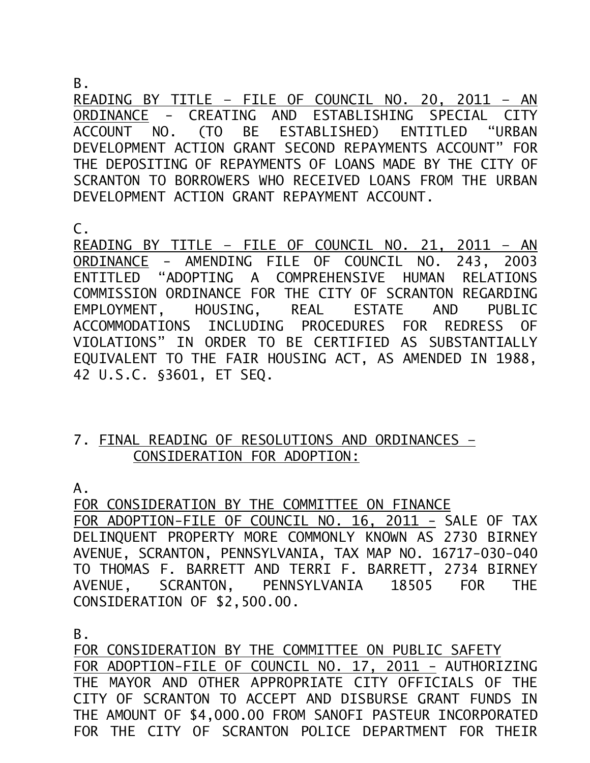B.

READING BY TITLE – FILE OF COUNCIL NO. 20, 2011 – AN ORDINANCE - CREATING AND ESTABLISHING SPECIAL CITY ACCOUNT NO. (TO BE ESTABLISHED) ENTITLED "URBAN DEVELOPMENT ACTION GRANT SECOND REPAYMENTS ACCOUNT" FOR THE DEPOSITING OF REPAYMENTS OF LOANS MADE BY THE CITY OF SCRANTON TO BORROWERS WHO RECEIVED LOANS FROM THE URBAN DEVELOPMENT ACTION GRANT REPAYMENT ACCOUNT.

C.

READING BY TITLE – FILE OF COUNCIL NO. 21, 2011 – AN ORDINANCE - AMENDING FILE OF COUNCIL NO. 243, 2003 ENTITLED "ADOPTING A COMPREHENSIVE HUMAN RELATIONS COMMISSION ORDINANCE FOR THE CITY OF SCRANTON REGARDING EMPLOYMENT, HOUSING, REAL ESTATE AND PUBLIC ACCOMMODATIONS INCLUDING PROCEDURES FOR REDRESS OF VIOLATIONS" IN ORDER TO BE CERTIFIED AS SUBSTANTIALLY EQUIVALENT TO THE FAIR HOUSING ACT, AS AMENDED IN 1988, 42 U.S.C. §3601, ET SEQ.

## 7. FINAL READING OF RESOLUTIONS AND ORDINANCES – CONSIDERATION FOR ADOPTION:

A.

FOR CONSIDERATION BY THE COMMITTEE ON FINANCE FOR ADOPTION-FILE OF COUNCIL NO. 16, 2011 - SALE OF TAX DELINQUENT PROPERTY MORE COMMONLY KNOWN AS 2730 BIRNEY AVENUE, SCRANTON, PENNSYLVANIA, TAX MAP NO. 16717-030-040 TO THOMAS F. BARRETT AND TERRI F. BARRETT, 2734 BIRNEY AVENUE, SCRANTON, PENNSYLVANIA 18505 FOR THE CONSIDERATION OF \$2,500.00.

B.

FOR CONSIDERATION BY THE COMMITTEE ON PUBLIC SAFETY FOR ADOPTION-FILE OF COUNCIL NO. 17, 2011 - AUTHORIZING THE MAYOR AND OTHER APPROPRIATE CITY OFFICIALS OF THE CITY OF SCRANTON TO ACCEPT AND DISBURSE GRANT FUNDS IN THE AMOUNT OF \$4,000.00 FROM SANOFI PASTEUR INCORPORATED FOR THE CITY OF SCRANTON POLICE DEPARTMENT FOR THEIR